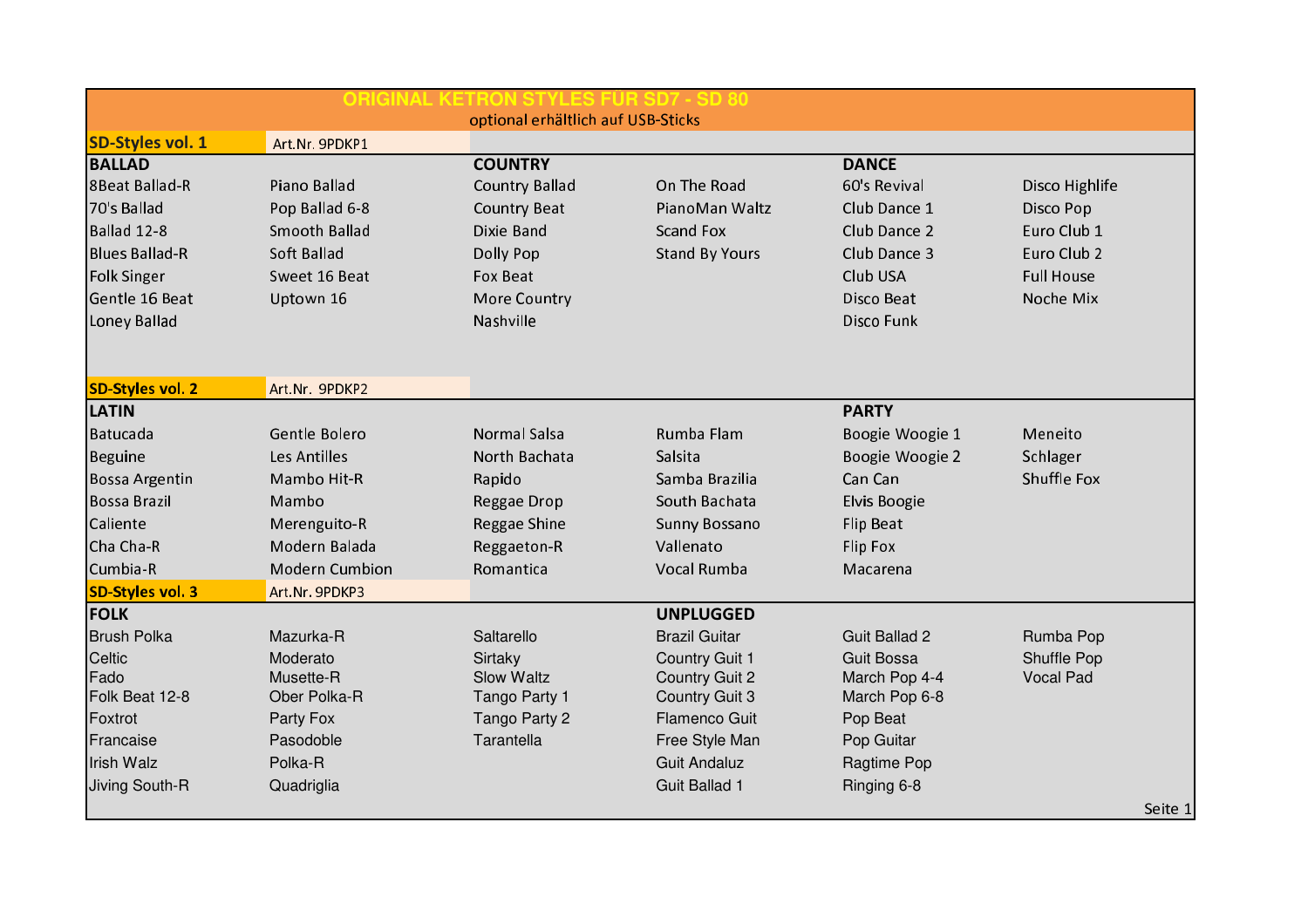| <b>ORIGINAL KET</b>                |                       |                       |                       |                      |                   |  |  |  |  |  |
|------------------------------------|-----------------------|-----------------------|-----------------------|----------------------|-------------------|--|--|--|--|--|
| optional erhältlich auf USB-Sticks |                       |                       |                       |                      |                   |  |  |  |  |  |
| <b>SD-Styles vol. 1</b>            | Art.Nr. 9PDKP1        |                       |                       |                      |                   |  |  |  |  |  |
| <b>BALLAD</b>                      |                       | <b>COUNTRY</b>        |                       | <b>DANCE</b>         |                   |  |  |  |  |  |
| <b>8Beat Ballad-R</b>              | Piano Ballad          | <b>Country Ballad</b> | On The Road           | 60's Revival         | Disco Highlife    |  |  |  |  |  |
| 70's Ballad                        | Pop Ballad 6-8        | <b>Country Beat</b>   | PianoMan Waltz        | Club Dance 1         | Disco Pop         |  |  |  |  |  |
| Ballad 12-8                        | <b>Smooth Ballad</b>  | Dixie Band            | <b>Scand Fox</b>      | Club Dance 2         | Euro Club 1       |  |  |  |  |  |
| <b>Blues Ballad-R</b>              | Soft Ballad           | Dolly Pop             | <b>Stand By Yours</b> | Club Dance 3         | Euro Club 2       |  |  |  |  |  |
| <b>Folk Singer</b>                 | Sweet 16 Beat         | Fox Beat              |                       | Club USA             | <b>Full House</b> |  |  |  |  |  |
| Gentle 16 Beat                     | Uptown 16             | More Country          |                       | Disco Beat           | Noche Mix         |  |  |  |  |  |
| Loney Ballad                       |                       | Nashville             |                       | Disco Funk           |                   |  |  |  |  |  |
|                                    |                       |                       |                       |                      |                   |  |  |  |  |  |
|                                    |                       |                       |                       |                      |                   |  |  |  |  |  |
| <b>SD-Styles vol. 2</b>            | Art.Nr. 9PDKP2        |                       |                       |                      |                   |  |  |  |  |  |
| <b>LATIN</b>                       |                       |                       |                       | <b>PARTY</b>         |                   |  |  |  |  |  |
| Batucada                           | Gentle Bolero         | <b>Normal Salsa</b>   | Rumba Flam            | Boogie Woogie 1      | Meneito           |  |  |  |  |  |
| <b>Beguine</b>                     | <b>Les Antilles</b>   | North Bachata         | Salsita               | Boogie Woogie 2      | Schlager          |  |  |  |  |  |
| <b>Bossa Argentin</b>              | Mambo Hit-R           | Rapido                | Samba Brazilia        | Can Can              | Shuffle Fox       |  |  |  |  |  |
| <b>Bossa Brazil</b>                | Mambo                 | Reggae Drop           | South Bachata         | <b>Elvis Boogie</b>  |                   |  |  |  |  |  |
| Caliente                           | Merenguito-R          | Reggae Shine          | Sunny Bossano         | Flip Beat            |                   |  |  |  |  |  |
| Cha Cha-R                          | Modern Balada         | Reggaeton-R           | Vallenato             | Flip Fox             |                   |  |  |  |  |  |
| Cumbia-R                           | <b>Modern Cumbion</b> | Romantica             | Vocal Rumba           | Macarena             |                   |  |  |  |  |  |
| <b>SD-Styles vol. 3</b>            | Art.Nr. 9PDKP3        |                       |                       |                      |                   |  |  |  |  |  |
| <b>FOLK</b>                        |                       |                       | <b>UNPLUGGED</b>      |                      |                   |  |  |  |  |  |
| <b>Brush Polka</b>                 | Mazurka-R             | Saltarello            | <b>Brazil Guitar</b>  | <b>Guit Ballad 2</b> | Rumba Pop         |  |  |  |  |  |
| Celtic                             | Moderato              | Sirtaky               | Country Guit 1        | <b>Guit Bossa</b>    | Shuffle Pop       |  |  |  |  |  |
| Fado                               | Musette-R             | <b>Slow Waltz</b>     | <b>Country Guit 2</b> | March Pop 4-4        | <b>Vocal Pad</b>  |  |  |  |  |  |
| Folk Beat 12-8                     | Ober Polka-R          | Tango Party 1         | <b>Country Guit 3</b> | March Pop 6-8        |                   |  |  |  |  |  |
| Foxtrot                            | Party Fox             | Tango Party 2         | <b>Flamenco Guit</b>  | Pop Beat             |                   |  |  |  |  |  |
| Francaise                          | Pasodoble             | Tarantella            | Free Style Man        | Pop Guitar           |                   |  |  |  |  |  |
| Irish Walz                         | Polka-R               |                       | <b>Guit Andaluz</b>   | Ragtime Pop          |                   |  |  |  |  |  |
| Jiving South-R                     | Quadriglia            |                       | Guit Ballad 1         | Ringing 6-8          |                   |  |  |  |  |  |
|                                    |                       |                       |                       |                      | Seite 1           |  |  |  |  |  |